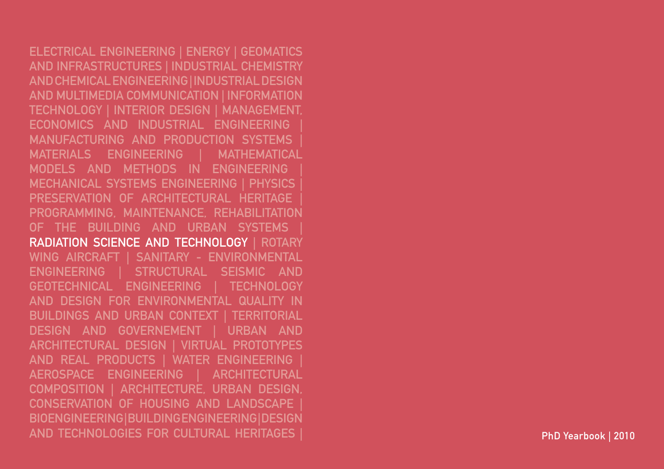ELECTRICAL ENGINEERING | ENERGY | GEOMATICS AND INFRASTRUCTURES | INDUSTRIAL CHEMISTRY AND CHEMICAL ENGINEERING | INDUSTRIAL DESIGN AND MULTIMEDIA COMMUNICATION | INFORMATION TECHNOLOGY | INTERIOR DESIGN | MANAGEMENT, ECONOMICS AND INDUSTRIAL ENGINEERING MANUFACTURING AND PRODUCTION SYSTEMS MATERIALS ENGINEERING | MATHEMATICAL MODELS AND METHODS IN ENGINEERING | MECHANICAL SYSTEMS ENGINEERING | PHYSICS | PRESERVATION OF ARCHITECTURAL HERITAGE PROGRAMMING, MAINTENANCE, REHABILITATION OF THE BUILDING AND URBAN SYSTEMS RADIATION SCIENCE AND TECHNOLOGY | RO Wing Aircraft | SANITARY - ENVIRONMENTAL ENGINEERING | STRUCTURAL SEISMIC AND GEOTECHNICAL ENGINEERING | TECHNOLOGY AND DESIGN FOR ENVIRONMENTAL QUALITY IN BUILDINGS AND URBAN CONTEXT | TERRITORIAL DESIGN AND GOVERNEMENT | URBAN AND ARCHITECTURAL DESIGN | VIRTUAL PR and Real Products | WATER ENGINEERING | AEROSPACE ENGINEERING | ARCHITECTURAL COMPOSITION | ARCHITECTURE, URBAN DESIGN, CONSERVATION OF HOUSING AND LANDSCAPE | BIOENGINEERING | BUILDING ENGINEERING | DESIGN AND TECHNOLOGIES FOR CULTURAL HERITAGES | PhD Yearbook | 2010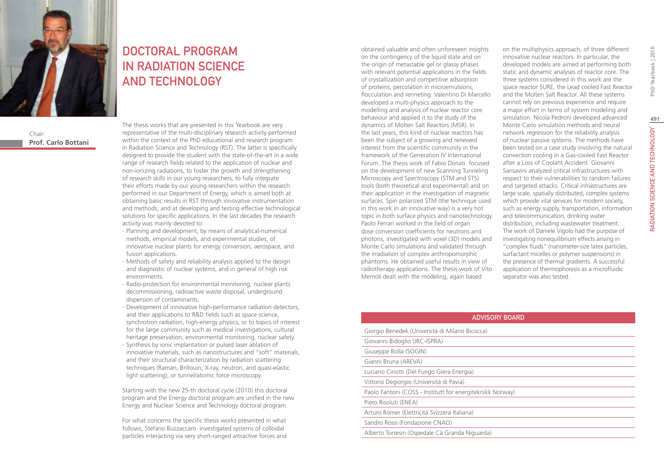

Chair: **Prof. Carlo Bottani**

# DOCTORAL PROGRAM IN RADIATION SCIENCE AND TECHNOLOGY

The thesis works that are presented in this Yearbook are very representative of the multi-disciplinary research activity performed within the context of the PhD educational and research program in Radiation Science and Technology (RST). The latter is specifically designed to provide the student with the state-of-the-art in a wide range of research fields related to the application of nuclear and non-ionizing radiations, to foster the growth and strengthening of research skills in our young researchers, to fully integrate their efforts made by our young researchers within the research performed in our Department of Energy, which is aimed both at obtaining basic results in RST through innovative instrumentation and methods, and at developing and testing effective technological solutions for specific applications. In the last decades the research activity was mainly devoted to:

- ∙ Planning and development, by means of analytical-numerical methods, empirical models, and experimental studies, of innovative nuclear plants for energy conversion, aerospace, and fusion applications.
- ∙ Methods of safety and reliability analysis applied to the design and diagnostic of nuclear systems, and in general of high risk environments.
- ∙ Radio-protection for environmental monitoring, nuclear plants decommissioning, radioactive waste disposal, underground dispersion of contaminants.
- ∙ Development of innovative high-performance radiation detectors, and their applications to R&D fields such as space science, synchrotron radiation, high-energy physics, or to topics of interest for the large community such as medical investigations, cultural heritage preservation, environmental monitoring, nuclear safety.
- ∙ Synthesis by ionic implantation or pulsed laser ablation of innovative materials, such as nanostructures and "soft" materials, and their structural characterization by radiation scattering techniques (Raman, Brillouin, X-ray, neutron, and quasi-elastic light scattering), or tunnel/atomic force microscopy.

Starting with the new 25-th doctoral cycle (2010) this doctoral program and the Energy doctoral program are unified in the new Energy and Nuclear Science and Technology doctoral program.

For what concerns the specific thesis works presented in what follows, Stefano Buzzaccaro investigated systems of colloidal particles interacting via very short-ranged attractive forces and obtained valuable and often unforeseen insights on the contingency of the liquid state and on the origin of metastable gel or glassy phases with relevant potential applications in the fields of crystallization and competitive adsorption of proteins, percolation in microemulsions, flocculation and renneting. Valentino Di Marcello developed a multi-physics approach to the modelling and analysis of nuclear reactor core behaviour and applied it to the study of the dynamics of Molten Salt Reactors (MSR). In the last years, this kind of nuclear reactors has been the subject of a growing and renewed interest from the scientific community in the framework of the Generation IV International Forum. The thesis work of Fabio Donati focused on the development of new Scanning Tunneling Microscopy and Spectroscopy (STM and STS) tools (both theoretical and experimental) and on their application in the investigation of magnetic surfaces. Spin polarized STM (the technique used in this work in an innovative way) is a very hot topic in both surface physics and nanotechnology. Paolo Ferrari worked in the field of organ dose conversion coefficients for neutrons and photons, investigated with voxel (3D) models and Monte Carlo simulations and validated through the irradiation of complex anthropomorphic phantoms. He obtained useful results in view of radiotherapy applications. The thesis work of Vito Memoli dealt with the modeling, again based

on the multiphysics approach, of three different innovative nuclear reactors. In particular, the developed models are aimed at performing both static and dynamic analyses of reactor core. The three systems considered in this work are the space reactor SURE, the Lead cooled Fast Reactor and the Molten Salt Reactor. All these systems cannot rely on previous experience and require a major effort in terms of system modeling and simulation. Nicola Pedroni developed advanced Monte Carlo simulation methods and neural network regression for the reliability analysis of nuclear passive systems. The methods have been tested on a case study involving the natural convection cooling in a Gas-cooled Fast Reactor after a Loss of Coolant Accident. Giovanni Sansavini analyzed critical infrastructures with respect to their vulnerabilities to random failures and targeted attacks. Critical infrastructures are large scale, spatially distributed, complex systems which provide vital services for modern society, such as energy supply, transportation, information and telecommunication, drinking water distribution, including wastewater treatment. The work of Daniele Vigolo had the purpose of investigating nonequilibrium effects arising in "complex fluids" (nanometer-size latex particles, surfactant micelles or polymer suspensions) in the presence of thermal gradients. A successful application of thermophoresis as a microfluidic separator was also tested.

# RADIATION SCIENCE AND TECHNOLOGY PhD Yearbook | 2010 RADIATION SCIENCE AND TECHNOLOGY

# Advisory Board

| Giorgio Benedek (Università di Milano Bicocca)            |
|-----------------------------------------------------------|
| Giovanni Bidoglio (JRC-ISPRA)                             |
| Giuseppe Bolla (SOGIN)                                    |
| Gianni Bruna (AREVA)                                      |
| Luciano Cinotti (Del Fungo Giera Energia)                 |
| Vittorio Degiorgio (Università di Pavia)                  |
| Paolo Fantoni (COSS - Institutt for energiteknikk Norway) |
| Piero Risoluti (ENEA)                                     |
| Arturo Romer (Elettricità Svizzera Italiana)              |
| Sandro Rossi (Fondazione CNAO)                            |
| Alberto Torresin (Ospedale Cà Granda Niquarda)            |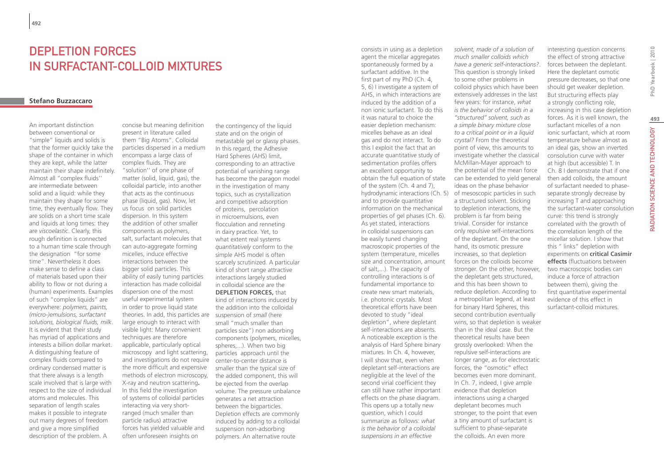# DEPLETION FORCES IN SURFACTANT-COLLOID MIXTURES

## **Stefano Buzzaccaro**

An important distinction between conventional or "simple" liquids and solids is that the former quickly take the shape of the container in which they are kept, while the latter maintain their shape indefinitely. Almost all "complex fluids'' are intermediate between solid and a liquid: while they maintain they shape for some time, they eventually flow. They are solids on a short time scale and liquids at long times: they are *viscoelastic*. Clearly, this rough definition is connected to a human time scale through the designation "for some time". Nevertheless it does make sense to define a class of materials based upon their ability to flow or not during a (human) experiments. Examples of such "complex liquids" are everywhere: *polymers, paints, (micro-)emulsions, surfactant solutions, biological fluids, milk*. It is evident that their study has myriad of applications and interests a billion dollar market. A distinguishing feature of complex fluids compared to ordinary condensed matter is that there always is a length scale involved that is large with respect to the size of individual atoms and molecules. This separation of length scales makes it possible to integrate out many degrees of freedom and give a more simplified description of the problem. A

concise but meaning definition present in literature called them "Big Atoms". Colloidal particles dispersed in a medium encompass a large class of complex fluids. They are "solution'' of one phase of matter (solid, liquid, gas), the colloidal particle, into another that acts as the continuous phase (liquid, gas). Now, let us focus on solid particles dispersion. In this system the addition of other smaller components as polymers, salt, surfactant molecules that can auto-aggregate forming micelles, induce effective interactions between the bigger solid particles. This ability of easily tuning particles interaction has made colloidal dispersion one of the most useful experimental system in order to prove liquid state theories. In add, this particles are large enough to interact with visible light: Many convenient techniques are therefore applicable, particularly optical microscopy and light scattering, and investigations do not require center-to-center distance is the more difficult and expensive methods of electron microscopy, X-ray and neutron scattering**.**  In this field the investigation of systems of colloidal particles interacting via very shortranged (much smaller than particle radius) attractive forces has yielded valuable and often unforeseen insights on

the contingency of the liquid state and on the origin of metastable gel or glassy phases. In this regard, the Adhesive Hard Spheres (AHS) limit, corresponding to an attractive potential of vanishing range has become the paragon model in the investigation of many topics, such as crystallization and competitive adsorption of proteins, percolation in microemulsions, even flocculation and renneting in dairy practice. Yet, to what extent real systems *quantitatively* conform to the simple AHS model is often scarcely scrutinized. A particular kind of short range attractive interactions largely studied in colloidal science are the **DEPLETION FORCES,** that kind of interactions induced by the addition into the colloidal suspension of *small* (here small "much smaller than particles size") non adsorbing components (polymers, micelles, spheres,...). When two big particles approach until the smaller than the typical size of the added component, this will be ejected from the overlap volume. The pressure unbalance generates a net attraction between the bigparticles. Depletion effects are commonly induced by adding to a colloidal suspension non-adsorbing polymers. An alternative route

consists in using as a depletion agent the micellar aggregates spontaneously formed by a surfactant additive. In the first part of my PhD (Ch. 4) 5, 6) I investigate a system of AHS, in which interactions are induced by the addition of a non ionic surfactant. To do this it was natural to choice the easier depletion mechanism: micelles behave as an ideal gas and do not interact. To do this I exploit the fact that an accurate quantitative study of sedimentation profiles offers an excellent opportunity to obtain the full equation of state of the system (Ch. 4 and 7), hydrodynamic interactions (Ch. 5) of mesoscopic particles in such and to provide quantitative information on the mechanical properties of gel phases (Ch. 6). As yet stated, interactions in colloidal suspensions can be easily tuned changing macroscopic properties of the system (temperature, micelles size and concentration, amount of salt,...). The capacity of controlling interactions is of fundamental importance to create new smart materials, i.e. photonic crystals. Most theoretical efforts have been devoted to study "ideal depletion", where depletant self-interactions are absents. A noticeable exception is the analysis of Hard Sphere binary mixtures. In Ch. 4, however, I will show that, even when depletant self-interactions are negligible at the level of the second virial coefficient they can still have rather important effects on the phase diagram. This opens up a totally new question, which I could summarize as follows: *what is the behavior of a colloidal suspensions in an effective* 

*solvent, made of a solution of much smaller colloids which have a generic self-interactions?*. This question is strongly linked to some other problems in colloid physics which have been extensively addresses in the last few years: for instance, *what is the behavior of colloids in a "structured" solvent, such as a simple binary mixture close to a critical point or in a liquid crystal?* From the theoretical point of view, this amounts to investigate whether the classical McMillan-Mayer approach to the potential of the mean force can be extended to yield general ideas on the phase behavior a structured solvent. Sticking to depletion interactions, the problem is far from being trivial. Consider for instance only repulsive self-interactions of the depletant. On the one hand, its osmotic pressure increases, so that depletion forces on the colloids become stronger. On the other, however, the depletant gets structured, and this has been shown to reduce depletion. According to a metropolitan legend, at least for binary Hard Spheres, this second contribution eventually wins, so that depletion is weaker than in the ideal case. But the theoretical results have been grossly overlooked: When the repulsive self-interactions are longer range, as for electrostatic forces, the "osmotic" effect becomes even more dominant. In Ch. 7, indeed, I give ample evidence that depletion interactions using a charged depletant becomes much stronger, to the point that even a tiny amount of surfactant is sufficient to phase-separate the colloids. An even more

interesting question concerns the effect of strong attractive forces between the depletant. Here the depletant osmotic pressure decreases, so that one should get weaker depletion. But structuring effects play a strongly conflicting role, increasing in this case depletion forces. As it is well known, the surfactant micelles of a non ionic surfactant, which at room temperature behave almost as an ideal gas, show an inverted consolution curve with water at high (but accessible) T. In Ch. 8 I demonstrate that if one then add colloids, the amount of surfactant needed to phaseseparate strongly decrease by increasing T and approaching the surfactant-water consolution curve: this trend is strongly correlated with the growth of the correlation length of the micellar solution. I show that this " links" depletion with experiments on **critical Casimir effects** (fluctuations between two macroscopic bodies can induce a force of attraction between them), giving the first quantitative experimental evidence of this effect in surfactant-colloid mixtures.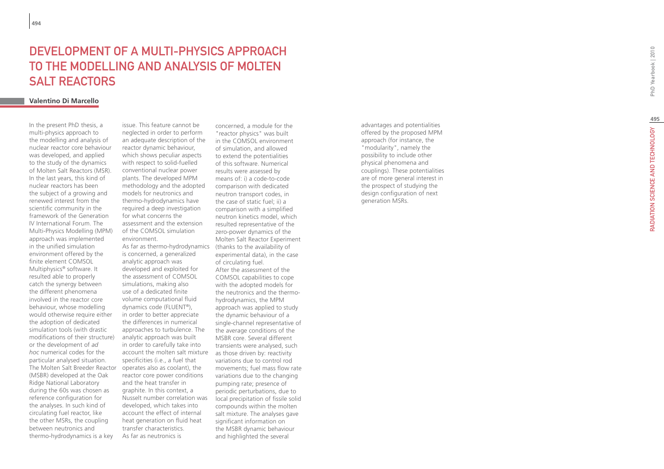# **DEVELOPMENT O<br>TO THE MODELLI<br>SALT REACTORS<br><sub>Valentino Di Marcello**</sub> A MULTI-PHYSICS AP TO THE MODELLING AND ANALYSIS OF MO Salt Reactors

In the present PhD thesis, a multi-physics approach to the modelling and analysis of nuclear reactor core behaviour was developed, and applied to the study of the dynamics of Molten Salt Reactors (MSR). In the last years, this kind of nuclear reactors has been the subject of a growing and renewed interest from the scientific community in the framework of the Generation IV International Forum. The Multi-Physics Modelling (MPM) approach was implemented in the unified simulation environment offered by the finite element COMSOL Multiphysics ® software. It resulted able to properly catch the synergy between the different phenomena involved in the reactor core behaviour, whose modelling would otherwise require either the adoption of dedicated simulation tools (with drastic modifications of their structure) or the development of *ad hoc* numerical codes for the particular analysed situation. The Molten Salt Breeder Reactor (MSBR) developed at the Oak Ridge National Laboratory during the 60s was chosen as reference configuration for the analyses. In such kind of circulating fuel reactor, like the other MSRs, the coupling between neutronics and thermo-hydrodynamics is a key

issue. This feature cannot be neglected in order to perform an adequate description of the reactor dynamic behaviour, which shows peculiar aspects with respect to solid-fuelled conventional nuclear power plants. The developed MPM methodology and the adopted models for neutronics and thermo-hydrodynamics have required a deep investigation for what concerns the assessment and the extension of the COMSOL simulation environment.

As far as thermo-hydrodynamics (thanks to the availability of is concerned, a generalized analytic approach was developed and exploited for the assessment of COMSOL simulations, making also use of a dedicated finite volume computational fluid dynamics code (FLUENT ®), in order to better appreciate the differences in numerical approaches to turbulence. The analytic approach was built in order to carefully take into account the molten salt mixture as those driven by: reactivity specificities (i.e., a fuel that operates also as coolant), the reactor core power conditions and the heat transfer in graphite. In this context, a Nusselt number correlation was developed, which takes into account the effect of internal heat generation on fluid heat transfer characteristics. As far as neutronics is

concerned, a module for the "reactor physics" was built in the COMSOL environment of simulation, and allowed to extend the potentialities of this software. Numerical results were assessed by means of: i) a code-to-code comparison with dedicated neutron transport codes, in the case of static fuel; ii) a comparison with a simplified neutron kinetics model, which resulted representative of the zero-power dynamics of the Molten Salt Reactor Experiment experimental data), in the case of circulating fuel. After the assessment of the COMSOL capabilities to cope with the adopted models for the neutronics and the thermohydrodynamics, the MPM approach was applied to study the dynamic behaviour of a single-channel representative of the average conditions of the MSBR core. Several different transients were analysed, such variations due to control rod movements; fuel mass flow rate variations due to the changing pumping rate; presence of periodic perturbations, due to local precipitation of fissile solid compounds within the molten salt mixture. The analyses gave significant information on the MSBR dynamic behaviour and highlighted the several

advantages and potentialities offered by the proposed MPM approach (for instance, the "modularity", namely the possibility to include other physical phenomena and couplings). These potentialities are of more general interest in the prospect of studying the design configuration of next generation MSRs.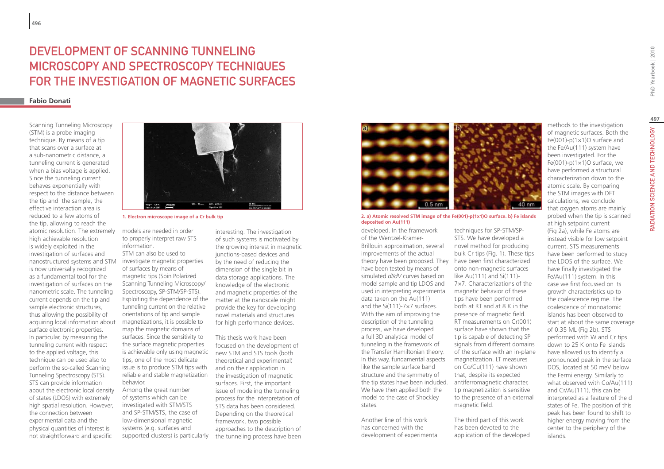# DEVELOPMENT OF SCANNING TUNNELING Microscopy and Spectroscopy techniques for the investigation of magnetic surfaces

## **Fabio Donati**

Scanning Tunneling Microscopy (STM) is a probe imaging technique. By means of a tip that scans over a surface at a sub-nanometric distance, a tunneling current is generated when a bias voltage is applied. Since the tunneling current behaves exponentially with respect to the distance between the tip and the sample, the effective interaction area is reduced to a few atoms of the tip, allowing to reach the atomic resolution. The extremely high achievable resolution is widely exploited in the investigation of surfaces and nanostructured systems and STM is now universally recognized as a fundamental tool for the investigation of surfaces on the nanometric scale. The tunneling current depends on the tip and sample electronic structures, thus allowing the possibility of acquiring local information about surface electronic properties. In particular, by measuring the tunneling current with respect to the applied voltage, this technique can be used also to perform the so-called Scanning Tunneling Spectroscopy (STS). STS can provide information about the electronic local density of states (LDOS) with extremely high spatial resolution. However, the connection between experimental data and the physical quantities of interest is not straightforward and specific



**1. Electron microscope image of a Cr bulk tip**

models are needed in order to properly interpret raw STS information. STM can also be used to investigate magnetic properties of surfaces by means of magnetic tips (Spin Polarized Scanning Tunneling Microscopy/ Spectroscopy, SP-STM/SP-STS). Exploiting the dependence of the tunneling current on the relative orientations of tip and sample magnetizations, it is possible to map the magnetic domains of surfaces. Since the sensitivity to the surface magnetic properties is achievable only using magnetic tips, one of the most delicate issue is to produce STM tips with reliable and stable magnetization behavior.

Among the great number of systems which can be investigated with STM/STS and SP-STM/STS, the case of low-dimensional magnetic systems (e.g. surfaces and supported clusters) is particularly

interesting. The investigation of such systems is motivated by the growing interest in magnetic junctions-based devices and by the need of reducing the dimension of the single bit in data storage applications. The knowledge of the electronic and magnetic properties of the matter at the nanoscale might provide the key for developing novel materials and structures for high performance devices.

This thesis work have been focused on the development of new STM and STS tools (both theoretical and experimental) and on their application in the investigation of magnetic surfaces. First, the important issue of modeling the tunneling process for the interpretation of STS data has been considered. Depending on the theoretical framework, two possible approaches to the description of the tunneling process have been



**2. a) Atomic resolved STM image of the Fe(001)-p(1x1)O surface. b) Fe islands deposited on Au(111)**

developed. In the framework of the Wentzel-Kramer-Brillouin approximation, several improvements of the actual theory have been proposed. They have been first characterized have been tested by means of simulated *dI/dV* curves based on model sample and tip LDOS and used in interpreting experimental data taken on the Au(111) and the Si(111)-7×7 surfaces. With the aim of improving the description of the tunneling process, we have developed a full 3D analytical model of tunneling in the framework of the Transfer Hamiltonian theory. In this way, fundamental aspects like the sample surface band structure and the symmetry of the tip states have been included. We have then applied both the model to the case of Shockley states.

Another line of this work has concerned with the development of experimental



40 nm

The third part of this work has been devoted to the application of the developed

methods to the investigation of magnetic surfaces. Both the Fe(001)-p(1×1)O surface and the Fe/Au(111) system have been investigated. For the Fe(001)-p(1×1)O surface, we have performed a structural characterization down to the atomic scale. By comparing the STM images with DFT calculations, we conclude that oxygen atoms are mainly probed when the tip is scanned at high setpoint current (Fig 2a), while Fe atoms are instead visible for low setpoint current. STS measurements have been performed to study the LDOS of the surface. We have finally investigated the Fe/Au(111) system. In this case we first focussed on its growth characteristics up to the coalescence regime. The coalescence of monoatomic islands has been observed to start at about the same coverage of 0.35 ML (Fig 2b). STS performed with W and Cr tips down to 25 K onto Fe islands have allowed us to identify a pronounced peak in the surface DOS, located at 50 meV below the Fermi energy. Similarly to what observed with Co/Au(111)

and Cr/Au(111), this can be interpreted as a feature of the d states of Fe. The position of this peak has been found to shift to higher energy moving from the center to the periphery of the

islands.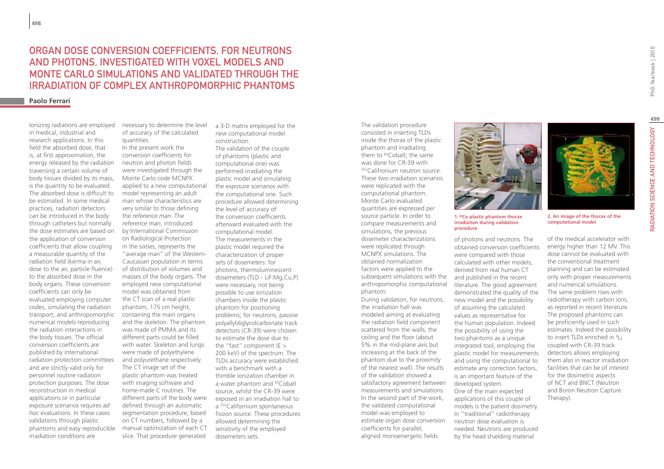# organ dose conversion coefficients, for neutrons and photons, investigated with voxel models and monte carlo simulations and validated through the irradiation of complex anthropomorphic phantoms

#### **Paolo Ferrari**

Ionizing radiations are employed in medical, industrial and research applications. In this field the absorbed dose, that is, at first approximation, the energy released by the radiation traversing a certain volume of body tissues divided by its mass, is the quantity to be evaluated. The absorbed dose is difficult to be estimated. In some medical practices, radiation detectors can be introduced in the body through catheters but normally the dose estimates are based on the application of conversion coefficients that allow coupling a measurable quantity of the radiation field (kerma in air, dose to the air, particle fluence) to the absorbed dose in the body organs. These conversion coefficients can only be evaluated employing computer codes, simulating the radiation transport, and anthropomorphic numerical models reproducing the radiation interactions in the body tissues. The official conversion coefficients are published by international radiation protection committees and are strictly valid only for personnel routine radiation protection purposes. The dose reconstruction in medical applications or in particular exposure scenarios requires *ad hoc* evaluations. In these cases validations through plastic phantoms and easy reproducible irradiation conditions are

necessary to determine the level of accuracy of the calculated quantities. In the present work the conversion coefficients for neutron and photon fields were investigated through the Monte Carlo code MCNPX applied to a new computational model representing an adult man whose characteristics are very similar to those defining the *reference man*. The *reference man*, introduced by International Commission on Radiological Protection in the sixties, represents the "average man" of the Western-Caucasian population in terms of distribution of volumes and masses of the body organs. The employed new computational model was obtained from the CT scan of a real plastic phantom, 175 cm height, containing the main organs and the skeleton. The phantom was made of PMMA and its different parts could be filled with water. Skeleton and lungs were made of polyethylene and polyurethane respectively. The CT image set of the plastic phantom was treated with imaging software and home-made C routines. The different parts of the body were defined through an automatic segmentation procedure, based on CT numbers, followed by a manual optimization of each CT slice. That procedure generated

a 3-D matrix employed for the new computational model construction. The validation of the couple of phantoms (plastic and computational one) was performed irradiating the plastic model and simulating the exposure scenarios with the computational one. Such procedure allowed determining the level of accuracy of the conversion coefficients afterward evaluated with the computational model. The measurements in the plastic model required the characterization of proper sets of dosemeters: for photons, thermoluminescent dosemeters (TLD - LiF:Mg,Cu,P) were necessary, not being possible to use ionization chambers inside the plastic phantom for positioning problems; for neutrons, passive polyallyldiglycolcarbonate track detectors (CR-39) were chosen to estimate the dose due to the "fast" component (E > 200 keV) of the spectrum. The TLDs accuracy were established with a benchmark with a thimble ionization chamber in a water phantom and <sup>60</sup>Cobalt source, whilst the CR-39 were exposed in an irradiation hall to a 252Californium spontaneous fission source. These procedures allowed determining the sensitivity of the employed dosemeters sets.

The validation procedure consisted in inserting TLDs inside the thorax of the plastic phantom and irradiating them to <sup>60</sup>Cobalt; the same was done for CR-39 with 252Califronium neutron source. These two irradiation scenarios were replicated with the computational phantom. Monte Carlo evaluated quantities are expressed per source particle. In order to compare measurements and simulations, the previous dosemeter characterizations were replicated through MCNPX simulations. The obtained normalization factors were applied to the subsequent simulations with the anthropomorphic computational phantom. During validation, for neutrons, the irradiation hall was modeled aiming at evaluating the radiation field component scattered from the walls, the ceiling and the floor (about 5% in the mid-plane axis but increasing at the back of the phantom due to the proximity of the nearest wall). The results of the validation showed a

satisfactory agreement between measurements and simulations. In the second part of the work, the validated computational model was employed to estimate organ dose conversion coefficients for parallel, aligned monoenergetic fields



**irradiation during validation procedure**

of photons and neutrons. The obtained conversion coefficients were compared with those calculated with other models, derived from real human CT and published in the recent literature. The good agreement demonstrated the quality of the new model and the possibility of assuming the calculated values as representative for the human population. Indeed the possibility of using the two phantoms as a unique integrated tool, employing the plastic model for measurements and using the computational to estimate any correction factors, is an important feature of the developed system. One of the main expected applications of this couple of models is the patient dosimetry. In "traditional" radiotherapy neutron dose evaluation is needed. Neutrons are produced by the head shielding material

of the medical accelerator with energy higher than 12 MV. This dose cannot be evaluated with the conventional treatment planning and can be estimated only with proper measurements and numerical simulations. The same problem rises with radiotherapy with carbon ions, as reported in recent literature. The proposed phantoms can be proficiently used in such estimates. Indeed the possibility to insert TLDs enriched in <sup>6</sup>Li coupled with CR-39 track detectors allows employing them also in reactor irradiation facilities that can be of interest for the dosimetric aspects of NCT and BNCT (Neutron and Boron Neutron Capture Therapy).

**computational model**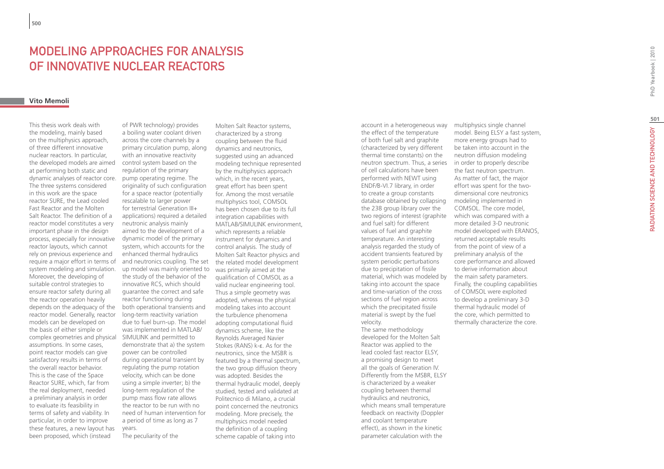# **MODELING APPROACHES FOR AN<br>OF INNOVATIVE NUCLEAR REACT(<br><sub>Vito Memoli**</sub> OF INNOVATIVE NUCLEAR RE

This thesis work deals with the modeling, mainly based on the multiphysics approach, of three different innovative nuclear reactors. In particular, the developed models are aimed at performing both static and dynamic analyses of reactor core. The three systems considered in this work are the space reactor SURE, the Lead cooled Fast Reactor and the Molten Salt Reactor. The definition of a reactor model constitutes a very important phase in the design process, especially for innovative reactor layouts, which cannot rely on previous experience and require a major effort in terms of system modeling and simulation. Moreover, the developing of suitable control strategies to ensure reactor safety during all the reactor operation heavily depends on the adequacy of the reactor model. Generally, reactor models can be developed on the basis of either simple or complex geometries and physical assumptions. In some cases, point reactor models can give satisfactory results in terms of the overall reactor behavior. This is the case of the Space Reactor SURE, which, far from the real deployment, needed a preliminary analysis in order to evaluate its feasibility in terms of safety and viability. In particular, in order to improve these features, a new layout has been proposed, which (instead

of PWR technology) provides a boiling water coolant driven across the core channels by a primary circulation pump, along with an innovative reactivity control system based on the regulation of the primary pump operating regime. The originality of such configuration for a space reactor (potentially rescalable to larger power for terrestrial Generation III+ applications) required a detailed neutronic analysis mainly aimed to the development of a dynamic model of the primary system, which accounts for the enhanced thermal hydraulics and neutronics coupling. The set up model was mainly oriented to the study of the behavior of the innovative RCS, which should guarantee the correct and safe reactor functioning during both operational transients and long-term reactivity variation due to fuel burn-up. The model was implemented in MATLAB/ SIMULINK and permitted to demonstrate that a) the system power can be controlled during operational transient by regulating the pump rotation velocity, which can be done using a simple inverter; b) the long-term regulation of the pump mass flow rate allows the reactor to be run with no need of human intervention for a period of time as long as 7 years.

The peculiarity of the

Molten Salt Reactor systems, characterized by a strong coupling between the fluid dynamics and neutronics, suggested using an advanced modeling technique represented by the multiphysics approach which, in the recent years, great effort has been spent for. Among the most versatile multiphysics tool, COMSOL has been chosen due to its full integration capabilities with MATLAB/SIMULINK environment, which represents a reliable instrument for dynamics and control analysis. The study of Molten Salt Reactor physics and the related model development was primarily aimed at the qualification of COMSOL as a valid nuclear engineering tool. Thus a simple geometry was adopted, whereas the physical modeling takes into account the turbulence phenomena adopting computational fluid dynamics scheme, like the Reynolds Averaged Navier Stokes (RANS) k-ε. As for the neutronics, since the MSBR is featured by a thermal spectrum, the two group diffusion theory was adopted. Besides the thermal hydraulic model, deeply studied, tested and validated at Politecnico di Milano, a crucial point concerned the neutronics modeling. More precisely, the multiphysics model needed the definition of a coupling scheme capable of taking into

account in a heterogeneous way the effect of the temperature of both fuel salt and graphite (characterized by very different thermal time constants) on the neutron spectrum. Thus, a series of cell calculations have been performed with NEWT using ENDF/B-VI.7 library, in order to create a group constants database obtained by collapsing the 238 group library over the two regions of interest (graphite) and fuel salt) for different values of fuel and graphite temperature. An interesting analysis regarded the study of accident transients featured by system periodic perturbations due to precipitation of fissile material, which was modeled by taking into account the space and time-variation of the cross sections of fuel region across which the precipitated fissile material is swept by the fuel velocity.

The same methodology developed for the Molten Salt Reactor was applied to the lead cooled fast reactor ELSY, a promising design to meet all the goals of Generation IV. Differently from the MSBR, ELSY is characterized by a weaker coupling between thermal hydraulics and neutronics, which means small temperature feedback on reactivity (Doppler and coolant temperature effect), as shown in the kinetic parameter calculation with the

multiphysics single channel model. Being ELSY a fast system, more energy groups had to be taken into account in the neutron diffusion modeling in order to properly describe the fast neutron spectrum. As matter of fact, the major effort was spent for the twodimensional core neutronics modeling implemented in COMSOL. The core model, which was compared with a more detailed 3-D neutronic model developed with ERANOS, returned acceptable results from the point of view of a preliminary analysis of the core performance and allowed to derive information about the main safety parameters. Finally, the coupling capabilities of COMSOL were exploited to develop a preliminary 3-D thermal hydraulic model of the core, which permitted to thermally characterize the core.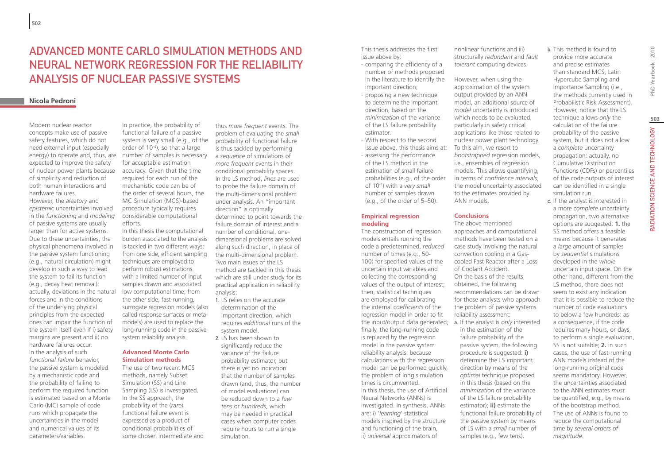# ADVANCED MONTE CARLO SIMULATION METHODS AND NEURAL NETWORK REGRESSION FOR THE RELIABILITY ANALYSIS OF NUCLEAR PASSIVE SYSTEMS

# **Nicola Pedroni**

Modern nuclear reactor concepts make use of passive safety features, which do not need external input (especially energy) to operate and, thus, are expected to improve the safety of nuclear power plants because of simplicity and reduction of both human interactions and hardware failures.

However, the *aleatory* and *epistemic* uncertainties involved in the *functioning* and *modeling* of passive systems are usually larger than for active systems. Due to these uncertainties, the physical phenomena involved in the passive system functioning (e.g., natural circulation) might develop in such a way to lead the system to fail its function (e.g., decay heat removal): actually, deviations in the natural forces and in the conditions of the underlying physical principles from the expected ones can impair the function of the system itself even if i) safety margins are present and ii) no hardware failures occur. In the analysis of such *functional failure* behavior, the passive system is modeled by a mechanistic code and the probability of failing to perform the required function is estimated based on a Monte Carlo (MC) sample of code runs which propagate the uncertainties in the model and numerical values of its parameters/variables.

In practice, the probability of functional failure of a passive system is very small (e.g., of the order of 10-4), so that a large number of samples is necessary for acceptable estimation accuracy. Given that the time required for each run of the mechanistic code can be of the order of several hours, the MC Simulation (MCS)-based procedure typically requires considerable computational efforts.

In this thesis the computational burden associated to the analysis is tackled in two different ways: from one side, efficient sampling techniques are employed to perform robust estimations with a limited number of input samples drawn and associated low computational time; from the other side, fast-running, surrogate regression models (also called response surfaces or metamodels) are used to replace the long-running code in the passive system reliability analysis.

#### **Advanced Monte Carlo Simulation methods**

The use of two recent MCS methods, namely Subset Simulation (SS) and Line Sampling (LS) is investigated. In the SS approach, the probability of the (*rare*) functional failure event is expressed as a product of conditional probabilities of some chosen intermediate and

thus *more frequent* events. The problem of evaluating the *small* probability of functional failure is thus tackled by performing a *sequence* of simulations of *more frequent* events in their conditional probability spaces. In the LS method, *lines* are used to probe the failure domain of the multi-dimensional problem under analysis. An "important direction" is optimally determined to point towards the failure domain of interest and a number of conditional, onedimensional problems are solved along such direction, in place of the multi-dimensional problem. Two main issues of the LS method are tackled in this thesis which are still under study for its practical application in reliability analysis:

- 1. LS relies on the accurate determination of the important direction, which requires *additional* runs of the system model.
- 2. LS has been shown to significantly reduce the variance of the failure probability estimator, but there is yet no indication that the number of samples drawn (and, thus, the number of model evaluations) can be reduced down to a *few tens* or *hundreds*, which may be needed in practical cases when computer codes require hours to run a single simulation.

This thesis addresses the first issue above by:

- ∙ comparing the efficiency of a number of methods proposed in the literature to identify the important direction;
- ∙ proposing a new technique to determine the important direction, based on the *minimization* of the variance of the LS failure probability estimator.
- issue above, this thesis aims at: To this aim, we resort to ∙ With respect to the second ∙ assessing the performance of the LS method in the estimation of small failure probabilities (e.g., of the order of 10-4) with a *very small* number of samples drawn (e.g., of the order of 5–50).

#### **Empirical regression modeling**

The construction of regression models entails running the code a predetermined, *reduced*  number of times (e.g., 50- 100) for specified values of the uncertain input variables and collecting the corresponding values of the output of interest; then, statistical techniques are employed for calibrating the internal *coefficients* of the regression model in order to fit finally, the long-running code is replaced by the regression model in the passive system reliability analysis: because calculations with the regression model can be performed quickly, the problem of long simulation times is circumvented. In this thesis, the use of Artificial Neural Networks (ANNs) is investigated. In synthesis, ANNs are: i) '*learning*' statistical models inspired by the structure and functioning of the brain, ii) *universal* approximators of

nonlinear functions and iii) structurally *redundant* and *fault tolerant* computing devices.

However, when using the approximation of the system output provided by an ANN model, an additional source of *model* uncertainty is introduced which needs to be evaluated, particularly in safety critical applications like those related to nuclear power plant technology. *bootstrapped* regression models, i.e., ensembles of regression models. This allows quantifying, in terms of *confidence intervals*, the model uncertainty associated to the estimates provided by ANN models.

## **Conclusions**

The above mentioned approaches and computational methods have been tested on a case study involving the natural convection cooling in a Gascooled Fast Reactor after a Loss of Coolant Accident. On the basis of the results obtained, the following recommendations can be drawn for those analysts who approach the problem of passive systems reliability assessment: the input/output data generated; a. If the analyst is *only* interested in the estimation of the failure probability of the passive system, the following procedure is suggested: **i)**

> determine the LS important direction by means of the *optimal* technique proposed in this thesis (based on the *minimization* of the variance of the LS failure probability estimator); **ii)** estimate the functional failure probability of the passive system by means of LS with a *small* number of samples (e.g., few tens).

b. This method is found to provide more accurate and precise estimates than standard MCS, Latin

Hypercube Sampling and Importance Sampling (i.e., the methods currently used in Probabilistic Risk Assessment). However, notice that the LS technique allows *only* the calculation of the failure probability of the passive system, but it does not allow a *complete* uncertainty propagation: actually, no Cumulative Distribution Functions (CDFs) or percentiles of the code outputs of interest can be identified in a single simulation run.

c. If the analyst is interested in a more *complete* uncertainty propagation, two alternative options are suggested: **1.** the SS method offers a feasible means because it generates a *large* amount of samples by *sequential* simulations developed in the *whole* uncertain input space. On the other hand, different from the LS method, there does not seem to exist any indication that it is possible to reduce the number of code evaluations to below a few hundreds: as a consequence, if the code requires many hours, or days, to perform a single evaluation, SS is not suitable; **2.** in such cases, the use of fast-running ANN models instead of the long-running original code seems mandatory. However, the uncertainties associated to the ANN estimates *must* be quantified, e.g., by means of the bootstrap method. The use of ANNs is found to reduce the computational time by *several orders of magnitude*.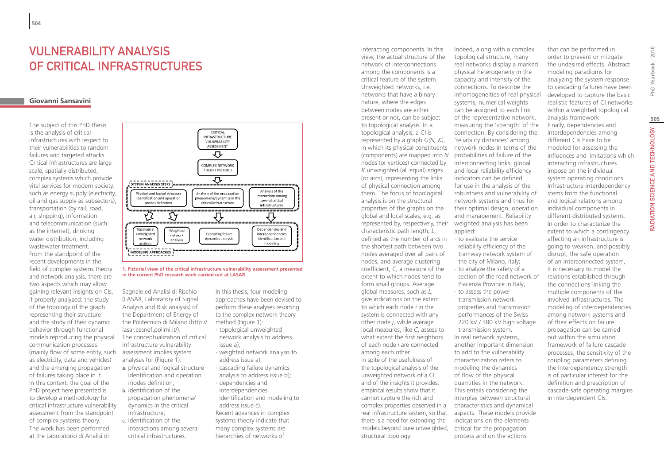# VULNERABILITY ANALYSIS OF CRITICAL INFRASTRUCTURES

# **Giovanni Sansavini**

The subject of this PhD thesis is the analysis of critical infrastructures with respect to their vulnerabilities to random failures and targeted attacks. Critical infrastructures are large scale, spatially distributed, complex systems which provide vital services for modern society, such as energy supply (electricity, oil and gas supply as subsectors), transportation (by rail, road, air, shipping), information and telecommunication (such as the internet), drinking water distribution, including wastewater treatment. From the standpoint of the recent developments in the field of complex systems theory and network analysis, there are two aspects which may allow gaining relevant insights on CIs, if properly analyzed: the study of the topology of the graph representing their structure and the study of their dynamic behavior through functional models reproducing the physical communication processes (mainly flow of some entity, such as electricity, data and vehicles) and the emerging propagation of failures taking place in it. In this context, the goal of the PhD project here presented is to develop a methodology for critical infrastructure vulnerability assessment from the standpoint of complex systems theory. The work has been performed at the Laboratorio di Analisi di



#### **1. Pictorial view of the critical infrastructure vulnerability assessment presented in the current PhD research work carried out at LASAR**

Segnale ed Analisi di Rischio (LASAR, Laboratory of Signal Analysis and Risk analysis) of the Department of Energy of the Politecnico di Milano (http:// lasar.cesnef.polimi.it/). The conceptualization of critical infrastructure vulnerability assessment implies system analyses for (Figure 1):

- a. physical and logical structure identification and operation modes definition;
- b. identification of the propagation phenomena/ dynamics in the critical infrastructure;
- c. identification of the interactions among several critical infrastructures.

In this thesis, four modeling approaches have been devised to perform these analyses resorting to the complex network theory method (Figure 1):

- ∙ topological unweighted network analysis to address
- issue a); ∙ weighted network analysis to
- address issue a); ∙ cascading failure dynamics
- analysis to address issue b);
- ∙ dependencies and interdependencies identification and modeling to address issue c). Recent advances in complex systems theory indicate that

many complex systems are hierarchies of networks of

represented by, respectively, their weighted analysis has been models beyond pure unweighted, critical for the propagation interacting components. In this view, the actual structure of the network of interconnections among the components is a critical feature of the system. Unweighted networks, i.e. networks that have a binary nature, where the edges between nodes are either present or not, can be subject to topological analysis. In a topological analysis, a CI is represented by a graph *G(N, K)*, in which its physical constituents (components) are mapped into *N* nodes (or vertices) connected by *K* unweighted (all equal) edges (or arcs), representing the links of physical connection among them. The focus of topological analysis is on the structural properties of the graphs on the global and local scales, e.g. as characteristic path length, *L*, defined as the number of arcs in the shortest path between two nodes averaged over all pairs of nodes, and average clustering coefficient, *C*, a measure of the extent to which nodes tend to form small groups. Average global measures, such as *L*, give indications on the extent to which each node *i* in the system is connected with any other node *j*, while average local measures, like *C*, assess to what extent the first neighbors of each node *i* are connected among each other. In spite of the usefulness of the topological analysis of the unweighted network of a CI and of the insights it provides, empirical results show that it cannot capture the rich and complex properties observed in a real infrastructure system, so that there is a need for extending the structural topology.

Indeed, along with a complex topological structure, many real networks display a marked physical heterogeneity in the capacity and intensity of the connections. To describe the inhomogeneities of real physical systems, numerical weights can be assigned to each link of the representative network, measuring the 'strength' of the connection. By considering the 'reliability distances' among network nodes in terms of the probabilities of failure of the interconnecting links, global and local reliability efficiency indicators can be defined for use in the analysis of the robustness and vulnerability of network systems and thus for their optimal design, operation and management. Reliability applied: ∙ to evaluate the service

- reliability efficiency of the tramway network system of the city of Milano, Italy; ∙ to analyze the safety of a
- section of the road network of Piacenza Province in Italy;
- ∙ to assess the power transmission network properties and transmission performances of the Swiss 220 kV / 380 kV high voltage transmission system. In real network systems, another important dimension to add to the vulnerability characterization refers to modeling the dynamics of flow of the physical quantities in the network. This entails considering the interplay between structural characteristics and dynamical aspects. These models provide indications on the elements process and on the actions

that can be performed in order to prevent or mitigate the undesired effects. Abstract modeling paradigms for analyzing the system response to cascading failures have been developed to capture the basic realistic features of CI networks within a weighted topological analysis framework. Finally, dependencies and interdependencies among different CIs have to be modeled for assessing the influences and limitations which interacting infrastructures impose on the individual system operating conditions. Infrastructure interdependency stems from the functional and logical relations among individual components in different distributed systems. In order to characterize the extent to which a contingency affecting an infrastructure is going to weaken, and possibly disrupt, the safe operation of an interconnected system, it is necessary to model the relations established through the connections linking the multiple components of the involved infrastructures. The modeling of interdependencies among network systems and of their effects on failure propagation can be carried out within the simulation framework of failure cascade processes; the sensitivity of the coupling parameters defining the interdependency strength is of particular interest for the definition and prescription of cascade-safe operating margins in interdependent CIs.